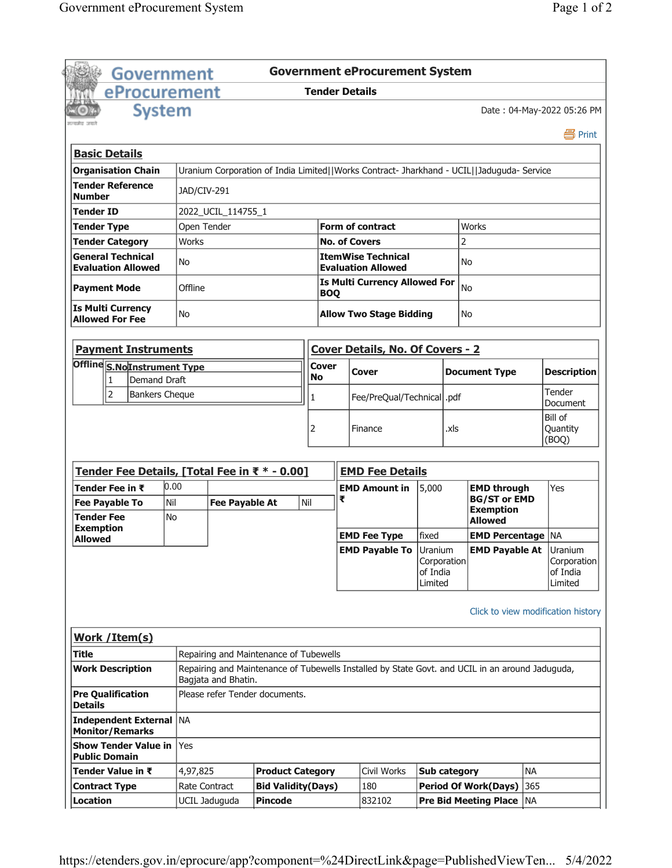|                                                         | <b>Government</b>     |                                                                                                                        |                       |                                        |                       |                                      | <b>Government eProcurement System</b>                                                                        |                                    |      |                                                             |           |                                    |
|---------------------------------------------------------|-----------------------|------------------------------------------------------------------------------------------------------------------------|-----------------------|----------------------------------------|-----------------------|--------------------------------------|--------------------------------------------------------------------------------------------------------------|------------------------------------|------|-------------------------------------------------------------|-----------|------------------------------------|
|                                                         | eProcurement          |                                                                                                                        |                       |                                        | <b>Tender Details</b> |                                      |                                                                                                              |                                    |      |                                                             |           |                                    |
|                                                         | <b>System</b>         |                                                                                                                        |                       |                                        |                       |                                      |                                                                                                              |                                    |      |                                                             |           | Date: 04-May-2022 05:26 PM         |
| रसमोत जन्म                                              |                       |                                                                                                                        |                       |                                        |                       |                                      |                                                                                                              |                                    |      |                                                             |           | 昌 Print                            |
| <b>Basic Details</b>                                    |                       |                                                                                                                        |                       |                                        |                       |                                      |                                                                                                              |                                    |      |                                                             |           |                                    |
| <b>Organisation Chain</b>                               |                       |                                                                                                                        |                       |                                        |                       |                                      | Uranium Corporation of India Limited  Works Contract- Jharkhand - UCIL  Jaduguda- Service                    |                                    |      |                                                             |           |                                    |
| <b>Tender Reference</b><br>JAD/CIV-291<br><b>Number</b> |                       |                                                                                                                        |                       |                                        |                       |                                      |                                                                                                              |                                    |      |                                                             |           |                                    |
| Tender ID                                               |                       |                                                                                                                        | 2022_UCIL_114755_1    |                                        |                       |                                      |                                                                                                              |                                    |      |                                                             |           |                                    |
| <b>Tender Type</b>                                      |                       | Open Tender                                                                                                            |                       |                                        |                       |                                      | <b>Form of contract</b>                                                                                      |                                    |      | <b>Works</b>                                                |           |                                    |
| <b>Tender Category</b>                                  |                       | Works                                                                                                                  |                       |                                        |                       |                                      | <b>No. of Covers</b>                                                                                         |                                    | 2    |                                                             |           |                                    |
| <b>General Technical</b><br><b>Evaluation Allowed</b>   |                       | No                                                                                                                     | Offline               |                                        |                       |                                      | <b>ItemWise Technical</b><br><b>Evaluation Allowed</b><br><b>Is Multi Currency Allowed For</b><br><b>BOQ</b> |                                    |      | No<br>No                                                    |           |                                    |
| <b>Payment Mode</b>                                     |                       |                                                                                                                        |                       |                                        |                       |                                      |                                                                                                              |                                    |      |                                                             |           |                                    |
| <b>Is Multi Currency</b><br><b>Allowed For Fee</b>      |                       | No                                                                                                                     |                       |                                        |                       | <b>Allow Two Stage Bidding</b><br>No |                                                                                                              |                                    |      |                                                             |           |                                    |
| <b>Payment Instruments</b>                              |                       |                                                                                                                        |                       |                                        |                       |                                      | <b>Cover Details, No. Of Covers - 2</b>                                                                      |                                    |      |                                                             |           |                                    |
| Offline S.NoInstrument Type                             |                       |                                                                                                                        |                       |                                        | Cover                 |                                      |                                                                                                              |                                    |      |                                                             |           |                                    |
| 1                                                       | <b>Demand Draft</b>   |                                                                                                                        |                       |                                        | No                    |                                      | Cover                                                                                                        |                                    |      | <b>Document Type</b>                                        |           | <b>Description</b>                 |
| $\overline{2}$                                          | <b>Bankers Cheque</b> |                                                                                                                        |                       |                                        | 1                     |                                      | Fee/PreQual/Technical  .pdf                                                                                  |                                    |      |                                                             |           | Tender<br>Document                 |
|                                                         |                       |                                                                                                                        |                       |                                        |                       |                                      | Finance                                                                                                      |                                    | .xls |                                                             |           | Bill of<br>Quantity<br>(BOQ)       |
| Tender Fee Details, [Total Fee in ₹ * - 0.00]           |                       |                                                                                                                        |                       |                                        |                       |                                      | <b>EMD Fee Details</b>                                                                                       |                                    |      |                                                             |           |                                    |
| Tender Fee in ₹                                         |                       | 0.00                                                                                                                   |                       |                                        |                       |                                      | <b>EMD Amount in</b>                                                                                         | 5,000                              |      | <b>EMD through</b>                                          |           | Yes                                |
| <b>Fee Payable To</b><br><b>Tender Fee</b>              | Nil<br><b>No</b>      |                                                                                                                        | <b>Fee Payable At</b> |                                        | Nil                   | ₹                                    |                                                                                                              |                                    |      | <b>BG/ST or EMD</b><br><b>Exemption</b><br><b>Allowed</b>   |           |                                    |
| <b>Exemption</b><br><b>Allowed</b>                      |                       |                                                                                                                        |                       |                                        |                       |                                      | <b>EMD Fee Type</b>                                                                                          | fixed                              |      | <b>EMD Percentage   NA</b>                                  |           |                                    |
|                                                         |                       |                                                                                                                        |                       |                                        |                       |                                      | <b>EMD Payable To Uranium</b>                                                                                | Corporation<br>of India<br>Limited |      | <b>EMD Payable At Uranium</b>                               |           | Corporation<br>of India<br>Limited |
| Work / Item(s)                                          |                       |                                                                                                                        |                       |                                        |                       |                                      |                                                                                                              |                                    |      | Click to view modification history                          |           |                                    |
| Title                                                   |                       |                                                                                                                        |                       | Repairing and Maintenance of Tubewells |                       |                                      |                                                                                                              |                                    |      |                                                             |           |                                    |
| <b>Work Description</b>                                 |                       | Repairing and Maintenance of Tubewells Installed by State Govt. and UCIL in an around Jaduguda,<br>Bagjata and Bhatin. |                       |                                        |                       |                                      |                                                                                                              |                                    |      |                                                             |           |                                    |
| <b>Pre Qualification</b><br><b>Details</b>              |                       |                                                                                                                        |                       | Please refer Tender documents.         |                       |                                      |                                                                                                              |                                    |      |                                                             |           |                                    |
| Independent External   NA<br><b>Monitor/Remarks</b>     |                       |                                                                                                                        |                       |                                        |                       |                                      |                                                                                                              |                                    |      |                                                             |           |                                    |
| <b>Show Tender Value in</b>                             |                       | Yes                                                                                                                    |                       |                                        |                       |                                      |                                                                                                              |                                    |      |                                                             |           |                                    |
| <b>Public Domain</b>                                    |                       |                                                                                                                        |                       |                                        |                       |                                      |                                                                                                              |                                    |      |                                                             |           |                                    |
| Tender Value in ₹                                       |                       | 4,97,825                                                                                                               |                       | <b>Product Category</b>                |                       |                                      | Civil Works                                                                                                  | <b>Sub category</b>                |      |                                                             | <b>NA</b> |                                    |
| <b>Contract Type</b>                                    |                       | Rate Contract                                                                                                          |                       | <b>Bid Validity(Days)</b>              |                       |                                      | 180                                                                                                          |                                    |      | <b>Period Of Work(Days)</b><br><b>Pre Bid Meeting Place</b> | 365       |                                    |